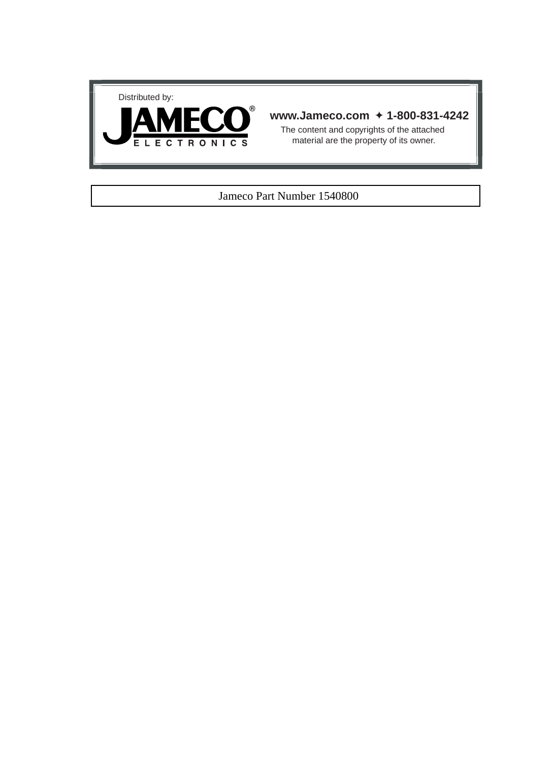



## **www.Jameco.com** ✦ **1-800-831-4242**

The content and copyrights of the attached material are the property of its owner.

#### Jameco Part Number 1540800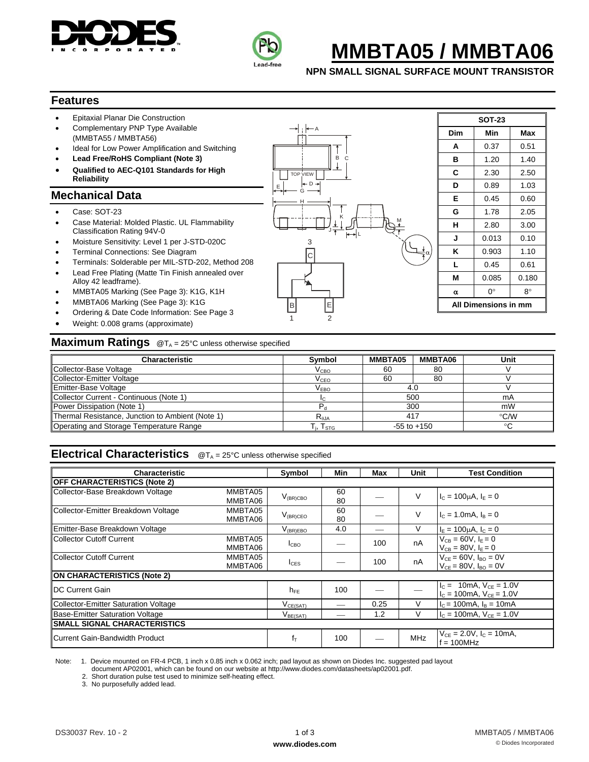



# **MMBTA05 / MMBTA06**

**NPN SMALL SIGNAL SURFACE MOUNT TRANSISTOR** 

#### **Features**

- Epitaxial Planar Die Construction
- Complementary PNP Type Available (MMBTA55 / MMBTA56)
- Ideal for Low Power Amplification and Switching
- **Lead Free/RoHS Compliant (Note 3)**
- **Qualified to AEC-Q101 Standards for High Reliability**

## **Mechanical Data**

- Case: SOT-23
- Case Material: Molded Plastic. UL Flammability Classification Rating 94V-0
- Moisture Sensitivity: Level 1 per J-STD-020C
- Terminal Connections: See Diagram
- Terminals: Solderable per MIL-STD-202, Method 208 Lead Free Plating (Matte Tin Finish annealed over
- Alloy 42 leadframe). • MMBTA05 Marking (See Page 3): K1G, K1H
- 
- MMBTA06 Marking (See Page 3): K1G • Ordering & Date Code Information: See Page 3
- Weight: 0.008 grams (approximate)

## B **All Dimensions in mm** C 3 A E  $J + L$ TOP VIEW M  $\mathsf B$ H G  $D$ K

| <b>SOT-23</b> |                      |       |  |  |  |  |  |  |  |  |
|---------------|----------------------|-------|--|--|--|--|--|--|--|--|
| Dim           | Min                  | Max   |  |  |  |  |  |  |  |  |
| A             | 0.37                 | 0.51  |  |  |  |  |  |  |  |  |
| в             | 1.20                 | 1.40  |  |  |  |  |  |  |  |  |
| C             | 2.30                 | 2.50  |  |  |  |  |  |  |  |  |
| D             | 0.89                 | 1.03  |  |  |  |  |  |  |  |  |
| Е             | 0.45                 | 0.60  |  |  |  |  |  |  |  |  |
| G             | 1.78                 | 2.05  |  |  |  |  |  |  |  |  |
| н             | 2.80                 | 3.00  |  |  |  |  |  |  |  |  |
| J             | 0.013                | 0.10  |  |  |  |  |  |  |  |  |
| Κ             | 0.903                | 1.10  |  |  |  |  |  |  |  |  |
| L             | 0.45                 | 0.61  |  |  |  |  |  |  |  |  |
| М             | 0.085                | 0.180 |  |  |  |  |  |  |  |  |
| α             | 0°                   | 8°    |  |  |  |  |  |  |  |  |
|               | All Dimensions in mm |       |  |  |  |  |  |  |  |  |

#### **Maximum Ratings** @T<sub>A</sub> = 25°C unless otherwise specified

| <b>Characteristic</b>                            | <b>Symbol</b>                                         | MMBTA05 | MMBTA06         | Unit          |
|--------------------------------------------------|-------------------------------------------------------|---------|-----------------|---------------|
| Collector-Base Voltage                           | $\rm V_{CBO}$                                         | 60      | 80              |               |
| Collector-Emitter Voltage                        | $\rm V_{CEO}$                                         | 60      | 80              |               |
| Emitter-Base Voltage                             | $V_{EBO}$                                             | 4.0     |                 |               |
| Collector Current - Continuous (Note 1)          |                                                       | 500     |                 | mA            |
| Power Dissipation (Note 1)                       |                                                       | 300     |                 | mW            |
| Thermal Resistance, Junction to Ambient (Note 1) | $R_{\theta$ JA                                        | 417     |                 | $\degree$ C/W |
| Operating and Storage Temperature Range          | $\mathsf{T}_{\mathsf{i}},\,\mathsf{T}_{\texttt{STG}}$ |         | $-55$ to $+150$ |               |

1 2

## **Electrical Characteristics** @T<sub>A</sub> = 25°C unless otherwise specified

| <b>Characteristic</b>                          |                    | Symbol                          | Min      | Max  | Unit       | <b>Test Condition</b>                                                             |
|------------------------------------------------|--------------------|---------------------------------|----------|------|------------|-----------------------------------------------------------------------------------|
| <b>OFF CHARACTERISTICS (Note 2)</b>            |                    |                                 |          |      |            |                                                                                   |
|                                                |                    |                                 |          |      |            |                                                                                   |
| Collector-Base Breakdown Voltage               | MMBTA05<br>MMBTA06 | $V_{(BR)CBO}$                   | 60<br>80 |      | V          | $I_c = 100 \mu A$ , $I_F = 0$                                                     |
| Collector-Emitter Breakdown Voltage            | MMBTA05<br>MMBTA06 | $V_{(BR)CEO}$                   | 60<br>80 |      | V          | $I_c = 1.0 \text{mA}, I_B = 0$                                                    |
| Emitter-Base Breakdown Voltage                 |                    | $V_{\rm (BR) EBO}$              | 4.0      |      | V          | $I_{E} = 100 \mu A$ , $I_{C} = 0$                                                 |
| Collector Cutoff Current                       | MMBTA05<br>MMBTA06 | $I_{CBO}$                       |          | 100  | nA         | $V_{CB} = 60V, I_F = 0$<br>$V_{CB} = 80V, I_F = 0$                                |
| Collector Cutoff Current<br>MMBTA05<br>MMBTA06 |                    | $I_{CES}$                       |          | 100  | nA         | $V_{CE} = 60V$ , $I_{BO} = 0V$<br>$V_{CF} = 80V$ , $I_{BO} = 0V$                  |
| ON CHARACTERISTICS (Note 2)                    |                    |                                 |          |      |            |                                                                                   |
| <b>IDC Current Gain</b>                        |                    | $h_{FE}$                        | 100      |      |            | $I_C = 10 \text{mA}$ , $V_{CF} = 1.0 \text{V}$<br>$I_c = 100$ mA, $V_{CE} = 1.0V$ |
| Collector-Emitter Saturation Voltage           |                    | $V_{CE(SAT)}$                   |          | 0.25 | $\vee$     | $I_c = 100$ mA, $I_B = 10$ mA                                                     |
| Base-Emitter Saturation Voltage                |                    | $\mathsf{V}_{\mathsf{BE(SAT)}}$ |          | 1.2  | $\vee$     | $I_c = 100$ mA, $V_{CF} = 1.0V$                                                   |
| <b>SMALL SIGNAL CHARACTERISTICS</b>            |                    |                                 |          |      |            |                                                                                   |
| Current Gain-Bandwidth Product                 |                    | $f_T$                           | 100      |      | <b>MHz</b> | $V_{CE} = 2.0 V$ , $I_C = 10 mA$ ,<br>$f = 100MHz$                                |

Note: 1. Device mounted on FR-4 PCB, 1 inch x 0.85 inch x 0.062 inch; pad layout as shown on Diodes Inc. suggested pad layout

document AP02001, which can be found on our website at http://www.diodes.com/datasheets/ap02001.pdf.

2. Short duration pulse test used to minimize self-heating effect.

3. No purposefully added lead.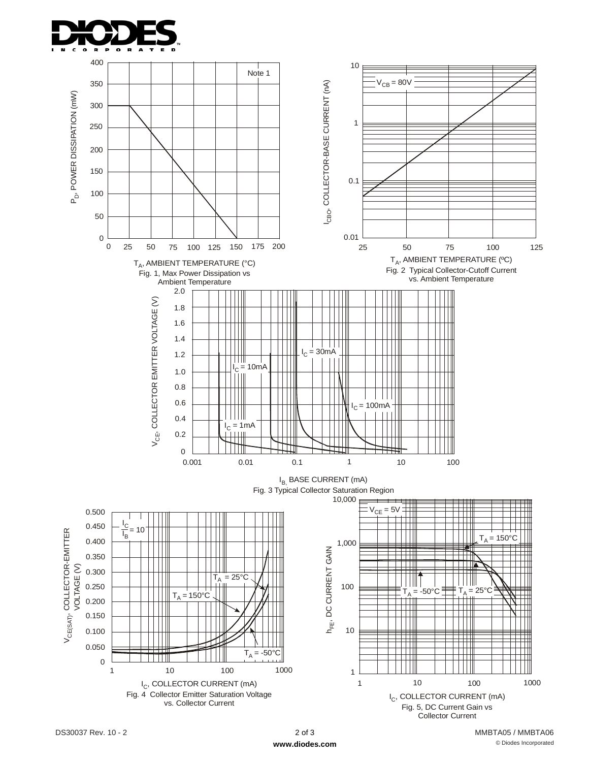